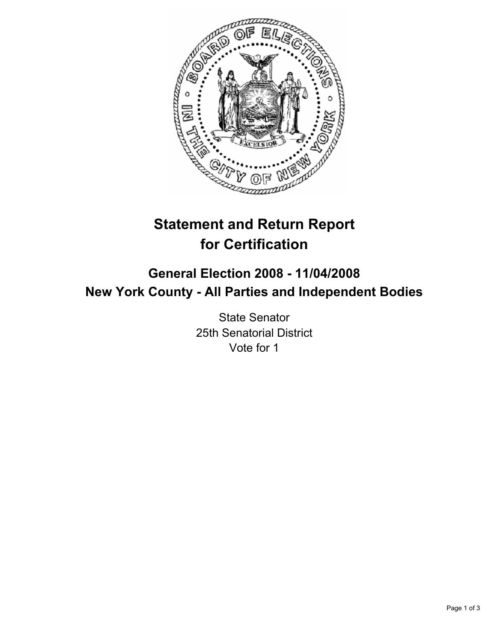

# **Statement and Return Report for Certification**

## **General Election 2008 - 11/04/2008 New York County - All Parties and Independent Bodies**

State Senator 25th Senatorial District Vote for 1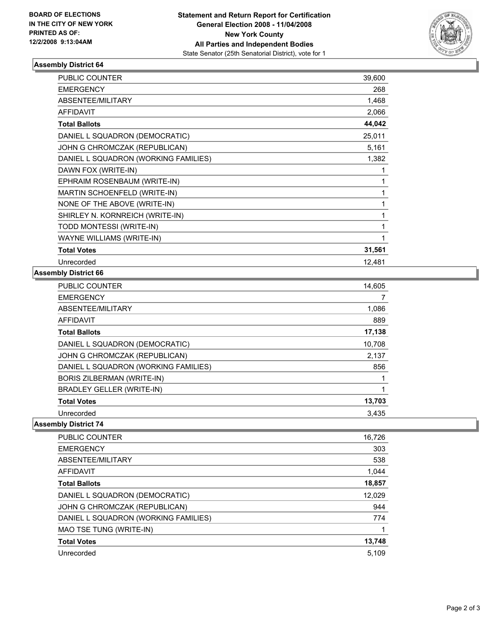

#### **Assembly District 64**

| <b>PUBLIC COUNTER</b>                | 39,600 |
|--------------------------------------|--------|
| <b>EMERGENCY</b>                     | 268    |
| ABSENTEE/MILITARY                    | 1,468  |
| <b>AFFIDAVIT</b>                     | 2,066  |
| <b>Total Ballots</b>                 | 44,042 |
| DANIEL L SQUADRON (DEMOCRATIC)       | 25,011 |
| JOHN G CHROMCZAK (REPUBLICAN)        | 5,161  |
| DANIEL L SQUADRON (WORKING FAMILIES) | 1,382  |
| DAWN FOX (WRITE-IN)                  |        |
| EPHRAIM ROSENBAUM (WRITE-IN)         |        |
| <b>MARTIN SCHOENFELD (WRITE-IN)</b>  |        |
| NONE OF THE ABOVE (WRITE-IN)         |        |
| SHIRLEY N. KORNREICH (WRITE-IN)      |        |
| TODD MONTESSI (WRITE-IN)             |        |
| WAYNE WILLIAMS (WRITE-IN)            |        |
| <b>Total Votes</b>                   | 31,561 |
| Unrecorded                           | 12,481 |

#### **Assembly District 66**

| <b>PUBLIC COUNTER</b>                | 14,605 |
|--------------------------------------|--------|
| <b>EMERGENCY</b>                     |        |
| ABSENTEE/MILITARY                    | 1,086  |
| <b>AFFIDAVIT</b>                     | 889    |
| <b>Total Ballots</b>                 | 17,138 |
| DANIEL L SQUADRON (DEMOCRATIC)       | 10,708 |
| JOHN G CHROMCZAK (REPUBLICAN)        | 2,137  |
| DANIEL L SQUADRON (WORKING FAMILIES) | 856    |
| BORIS ZILBERMAN (WRITE-IN)           |        |
| <b>BRADLEY GELLER (WRITE-IN)</b>     |        |
| <b>Total Votes</b>                   | 13,703 |
| Unrecorded                           | 3.435  |

### **Assembly District 74**

| <b>PUBLIC COUNTER</b>                | 16,726 |
|--------------------------------------|--------|
| <b>EMERGENCY</b>                     | 303    |
| ABSENTEE/MILITARY                    | 538    |
| AFFIDAVIT                            | 1,044  |
| <b>Total Ballots</b>                 | 18,857 |
| DANIEL L SQUADRON (DEMOCRATIC)       | 12,029 |
| JOHN G CHROMCZAK (REPUBLICAN)        | 944    |
| DANIEL L SQUADRON (WORKING FAMILIES) | 774    |
| MAO TSE TUNG (WRITE-IN)              |        |
| <b>Total Votes</b>                   | 13,748 |
| Unrecorded                           | 5,109  |